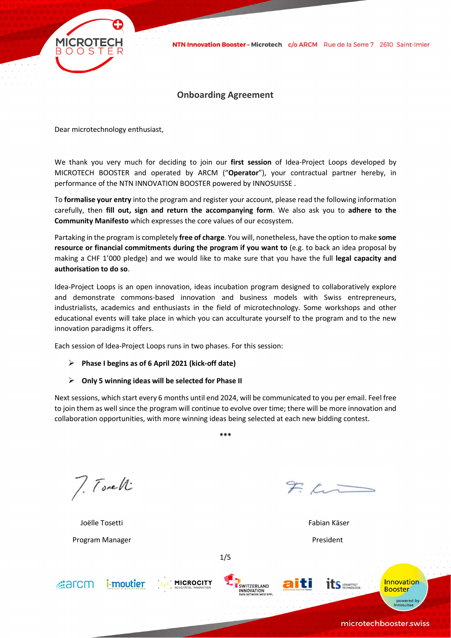

# Onboarding Agreement

Dear microtechnology enthusiast,

We thank you very much for deciding to join our first session of Idea-Project Loops developed by MICROTECH BOOSTER and operated by ARCM ("Operator"), your contractual partner hereby, in performance of the NTN INNOVATION BOOSTER powered by INNOSUISSE .

To formalise your entry into the program and register your account, please read the following information carefully, then fill out, sign and return the accompanying form. We also ask you to adhere to the Community Manifesto which expresses the core values of our ecosystem.

Partaking in the program is completely free of charge. You will, nonetheless, have the option to make some resource or financial commitments during the program if you want to (e.g. to back an idea proposal by making a CHF 1'000 pledge) and we would like to make sure that you have the full legal capacity and authorisation to do so.

Idea-Project Loops is an open innovation, ideas incubation program designed to collaboratively explore and demonstrate commons-based innovation and business models with Swiss entrepreneurs, industrialists, academics and enthusiasts in the field of microtechnology. Some workshops and other educational events will take place in which you can acculturate yourself to the program and to the new innovation paradigms it offers.

Each session of Idea-Project Loops runs in two phases. For this session:

## $\triangleright$  Phase I begins as of 6 April 2021 (kick-off date)

## $\triangleright$  Only 5 winning ideas will be selected for Phase II

Next sessions, which start every 6 months until end 2024, will be communicated to you per email. Feel free to join them as well since the program will continue to evolve over time; there will be more innovation and collaboration opportunities, with more winning ideas being selected at each new bidding contest.

\*\*\*

7. Torell

 Joëlle Tosetti Fabian Käser Program Manager **Program Manager** President

 $Zt-$ 







1/5



**Innovation Booster** powered by<br>Innosuisse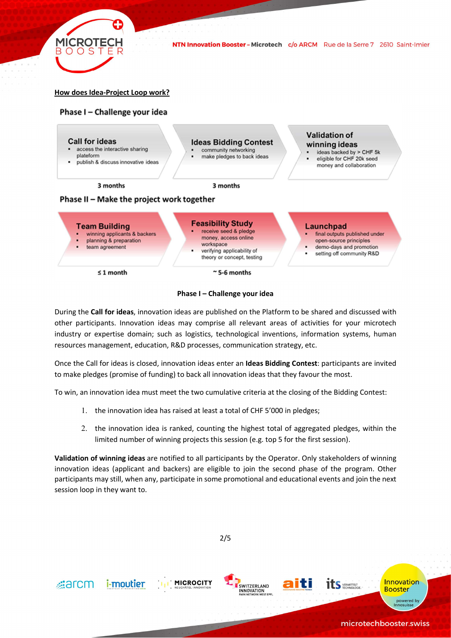

NTN Innovation Booster - Microtech c/o ARCM Rue de la Serre 7 2610 Saint-Imier

## How does Idea-Project Loop work?







During the Call for ideas, innovation ideas are published on the Platform to be shared and discussed with other participants. Innovation ideas may comprise all relevant areas of activities for your microtech industry or expertise domain; such as logistics, technological inventions, information systems, human resources management, education, R&D processes, communication strategy, etc.

Once the Call for ideas is closed, innovation ideas enter an Ideas Bidding Contest: participants are invited to make pledges (promise of funding) to back all innovation ideas that they favour the most.

To win, an innovation idea must meet the two cumulative criteria at the closing of the Bidding Contest:

- 1. the innovation idea has raised at least a total of CHF 5'000 in pledges;
- 2. the innovation idea is ranked, counting the highest total of aggregated pledges, within the limited number of winning projects this session (e.g. top 5 for the first session).

Validation of winning ideas are notified to all participants by the Operator. Only stakeholders of winning innovation ideas (applicant and backers) are eligible to join the second phase of the program. Other participants may still, when any, participate in some promotional and educational events and join the next session loop in they want to.

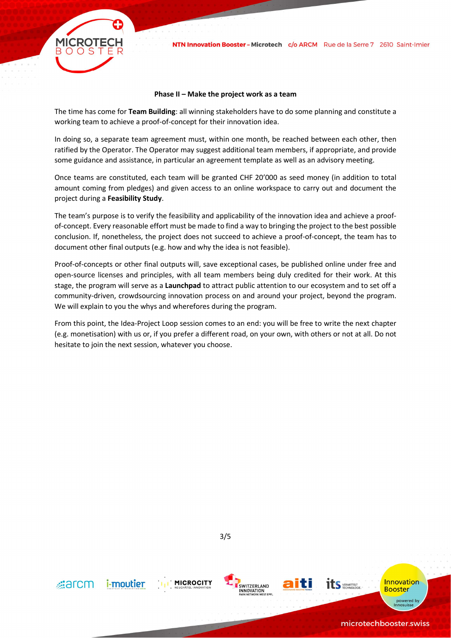

#### Phase II – Make the project work as a team

The time has come for Team Building: all winning stakeholders have to do some planning and constitute a working team to achieve a proof-of-concept for their innovation idea.

In doing so, a separate team agreement must, within one month, be reached between each other, then ratified by the Operator. The Operator may suggest additional team members, if appropriate, and provide some guidance and assistance, in particular an agreement template as well as an advisory meeting.

Once teams are constituted, each team will be granted CHF 20'000 as seed money (in addition to total amount coming from pledges) and given access to an online workspace to carry out and document the project during a Feasibility Study.

The team's purpose is to verify the feasibility and applicability of the innovation idea and achieve a proofof-concept. Every reasonable effort must be made to find a way to bringing the project to the best possible conclusion. If, nonetheless, the project does not succeed to achieve a proof-of-concept, the team has to document other final outputs (e.g. how and why the idea is not feasible).

Proof-of-concepts or other final outputs will, save exceptional cases, be published online under free and open-source licenses and principles, with all team members being duly credited for their work. At this stage, the program will serve as a Launchpad to attract public attention to our ecosystem and to set off a community-driven, crowdsourcing innovation process on and around your project, beyond the program. We will explain to you the whys and wherefores during the program.

From this point, the Idea-Project Loop session comes to an end: you will be free to write the next chapter (e.g. monetisation) with us or, if you prefer a different road, on your own, with others or not at all. Do not hesitate to join the next session, whatever you choose.

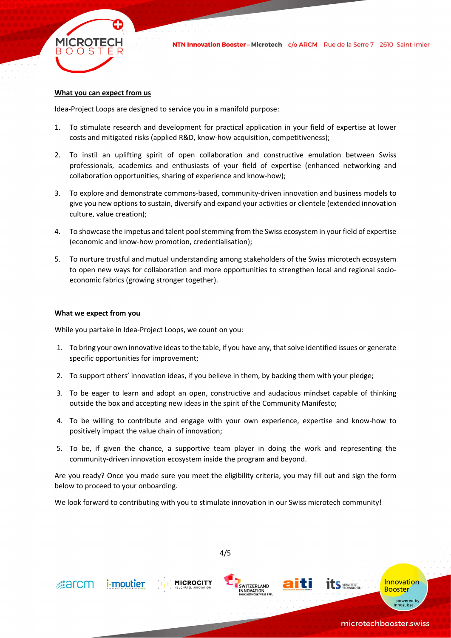

## What you can expect from us

Idea-Project Loops are designed to service you in a manifold purpose:

- 1. To stimulate research and development for practical application in your field of expertise at lower costs and mitigated risks (applied R&D, know-how acquisition, competitiveness);
- 2. To instil an uplifting spirit of open collaboration and constructive emulation between Swiss professionals, academics and enthusiasts of your field of expertise (enhanced networking and collaboration opportunities, sharing of experience and know-how);
- 3. To explore and demonstrate commons-based, community-driven innovation and business models to give you new options to sustain, diversify and expand your activities or clientele (extended innovation culture, value creation);
- 4. To showcase the impetus and talent pool stemming from the Swiss ecosystem in your field of expertise (economic and know-how promotion, credentialisation);
- 5. To nurture trustful and mutual understanding among stakeholders of the Swiss microtech ecosystem to open new ways for collaboration and more opportunities to strengthen local and regional socioeconomic fabrics (growing stronger together).

## What we expect from you

While you partake in Idea-Project Loops, we count on you:

- 1. To bring your own innovative ideas to the table, if you have any, that solve identified issues or generate specific opportunities for improvement;
- 2. To support others' innovation ideas, if you believe in them, by backing them with your pledge;
- 3. To be eager to learn and adopt an open, constructive and audacious mindset capable of thinking outside the box and accepting new ideas in the spirit of the Community Manifesto;
- 4. To be willing to contribute and engage with your own experience, expertise and know-how to positively impact the value chain of innovation;
- 5. To be, if given the chance, a supportive team player in doing the work and representing the community-driven innovation ecosystem inside the program and beyond.

Are you ready? Once you made sure you meet the eligibility criteria, you may fill out and sign the form below to proceed to your onboarding.

We look forward to contributing with you to stimulate innovation in our Swiss microtech community!

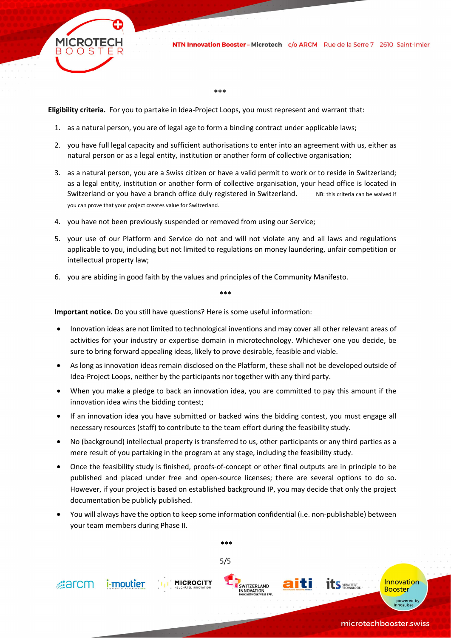

\*\*\*

Eligibility criteria. For you to partake in Idea-Project Loops, you must represent and warrant that:

- 1. as a natural person, you are of legal age to form a binding contract under applicable laws;
- 2. you have full legal capacity and sufficient authorisations to enter into an agreement with us, either as natural person or as a legal entity, institution or another form of collective organisation;
- 3. as a natural person, you are a Swiss citizen or have a valid permit to work or to reside in Switzerland; as a legal entity, institution or another form of collective organisation, your head office is located in Switzerland or you have a branch office duly registered in Switzerland. NB: this criteria can be waived if you can prove that your project creates value for Switzerland.
- 4. you have not been previously suspended or removed from using our Service;
- 5. your use of our Platform and Service do not and will not violate any and all laws and regulations applicable to you, including but not limited to regulations on money laundering, unfair competition or intellectual property law;
- 6. you are abiding in good faith by the values and principles of the Community Manifesto.

\*\*\*

Important notice. Do you still have questions? Here is some useful information:

- Innovation ideas are not limited to technological inventions and may cover all other relevant areas of activities for your industry or expertise domain in microtechnology. Whichever one you decide, be sure to bring forward appealing ideas, likely to prove desirable, feasible and viable.
- As long as innovation ideas remain disclosed on the Platform, these shall not be developed outside of Idea-Project Loops, neither by the participants nor together with any third party.
- When you make a pledge to back an innovation idea, you are committed to pay this amount if the innovation idea wins the bidding contest;
- If an innovation idea you have submitted or backed wins the bidding contest, you must engage all necessary resources (staff) to contribute to the team effort during the feasibility study.
- No (background) intellectual property is transferred to us, other participants or any third parties as a mere result of you partaking in the program at any stage, including the feasibility study.
- Once the feasibility study is finished, proofs-of-concept or other final outputs are in principle to be published and placed under free and open-source licenses; there are several options to do so. However, if your project is based on established background IP, you may decide that only the project documentation be publicly published.
- You will always have the option to keep some information confidential (i.e. non-publishable) between your team members during Phase II.